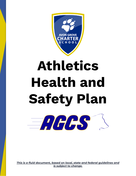

# **Athletics Health and Safety Plan**



<span id="page-0-0"></span>*This is a fluid document, based on local, state and federal guidelines and is subject to change.*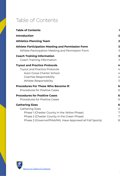## <span id="page-1-0"></span>Table of Contents

| <b>Table of Contents</b>                                  | ı              |
|-----------------------------------------------------------|----------------|
| <b>Introduction</b>                                       | $\mathbf{2}$   |
| <b>Athletics Planning Team</b>                            | $\overline{2}$ |
| <b>Athlete Participation Meeting and Permission Form</b>  | 3              |
| Athlete Participation Meeting and Permission Form         | 3              |
| <b>Coach Training Information</b>                         | 3              |
| Coach Training Information                                | 3              |
| <b>Tryout and Practice Protocols</b>                      | 4              |
| <b>Tryout and Practice Protocols</b>                      | 4              |
| Avon Grove Charter School                                 | 4              |
| Coaches Responsibility                                    | 4              |
| Athlete Responsibility                                    | 5              |
| <b>Procedures For Those Who Become III</b>                | 6              |
| <b>Procedures for Positive Cases</b>                      | 6              |
| <b>Procedures for Positive Cases</b>                      | 6              |
| <b>Procedures for Positive Cases</b>                      | 6              |
| <b>Gathering Sizes</b>                                    | 6              |
| <b>Gathering Sizes</b>                                    | 6              |
| Phase 1 (Chester County in the Yellow Phase)              | 7              |
| Phase 2 (Chester County in the Green Phase)               | 7              |
| Phase 3 (Governor/PIAA/MIL Have Approved all Fall Sports) | 8              |

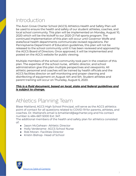## <span id="page-2-0"></span>Introduction

The Avon Grove Charter School (AGCS) Athletics Health and Safety Plan will be used to ensure the health and safety of our student athletes, coaches, and local school community. This plan will be implemented on Monday, August 10, 2020 which will be the kickoff to our 2020-21 Fall sports program. The continued implementation of this plan will occur until Governor Wolfe and state/local health departments communicate revised regulations. Per Pennsylvania Department of Education guidelines, this plan will not be released to the school community until it has been reviewed and approved by the AGCS Board of Directors. Once approved, it will be implemented and posted on the AGCS website for public viewing.

Multiple members of the school community took part in the creation of this plan. The expertise of the school nurse, athletic director, and school administration give this plan multiple perspectives and viewpoints. All athletic personnel and coaches will be trained by health officials and the AGCS facilities director on self monitoring and proper cleaning and disinfecting of equipment on August 4th and 5th. Student athletes and parent training will occur on Thursday, August 6, 2020.

#### *This is a fluid document, based on local, state and federal guidelines and is subject to change.*

## <span id="page-2-1"></span>Athletics Planning Team

Blase Maitland, AGCS High School Principal, will serve as the AGCS athletics point of contact for all questions related to COVID-19 for parents, athletes, and coaches. Dr. Maitland's email is bmaitland@agcharter,org and his contact number is 484-667-5000 Ext: 347.

The additional members of the health and safety plan for athletics consisted of:

- Jason McGehean- Athletic Director
- Holly Verderame- AGCS School Nurse
- Rob Moran- Facilities Director
- Kristin Bishop- Head of School

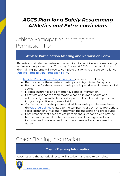### *AGCS Plan for a Safely Resumming Athletics and Extra-curriculars*

## <span id="page-3-0"></span>Athlete Participation Meeting and Permission Form

#### <span id="page-3-1"></span>**Athlete Participation Meeting and Permission Form**

Parents and student athletes will be required to participate in a mandatory online training via zoom on Thursday, August 6, 2020. At the conclusion of the training, parents will need to complete this form to ensure compliance Athlete [Participation](https://docs.google.com/document/d/1ceQI8RdpHs-CFAbfme4t2OXLgRfVVbhCSueBP9VHtRg/edit?usp=sharing) Permission Form.

The Athletic [Participation](https://docs.google.com/document/d/1ceQI8RdpHs-CFAbfme4t2OXLgRfVVbhCSueBP9VHtRg/edit?usp=sharing) Permission Form outlines the following:

- Permission for the athlete to participate in tryouts for Fall sports.
- Permission for the athlete to participate in practice and games for Fall sports
- Medical insurance and emergency contact information
- Certification that the athlete/participant is in good health and acknowledges no athlete or participant will be allowed to participate in tryouts, practice, or games if sick.
- Confirmation that the parent and athlete/participant have reviewed the CDC [Guidelines](https://www.cdc.gov/coronavirus/2019-ncov/prevent-getting-sick/prevention.html) related to the symptoms of COVID-19, appropriate social distancing, hygiene, hand washing and sanitizing procedures
- Confirmation that each athlete/participant is responsible to provide her/his own personal protective equipment, beverages and food items for each workout and that these items will not be shared with others.

# <span id="page-3-3"></span><span id="page-3-2"></span>Coach Training Information

#### **Coach Training Information**

Coaches and the athletic director will also be mandated to complete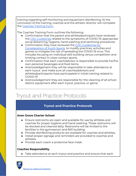training regarding self monitoring and equipment disinfecting. At the conclusion of the training, coaches and the athletic director will complete the [Coaches](https://docs.google.com/document/d/1CAarOkRaU91Lz68APPgfHD1l9eqw6i1gKruL1OIsIUA/edit?usp=sharing) Training Form.

The Coaches Training Form outlines the following:

- Confirmation that the parent and athlete/participant have reviewed the CDC [Guidelines](https://www.cdc.gov/coronavirus/2019-ncov/prevent-getting-sick/prevention.html) related to the symptoms of COVID-19, appropriate social distancing, hygiene, hand washing and sanitizing procedures
- Confirmation they have reviewed the CDC [Guidelines](https://www.cdc.gov/coronavirus/2019-ncov/community/schools-childcare/youth-sports.html) for [Consideration](https://www.cdc.gov/coronavirus/2019-ncov/community/schools-childcare/youth-sports.html) of Youth Sports. to modify practices, activities and games to mitigate the risk of spreading the COVID-19 virus. This includes focusing on individual skill building versus competition and limiting contact in close contact sports.
- Confirmation that each coach/advisor is responsible to provide her/his own personal beverages and food items.
- Acknowledgement they will be responsible to take attendance at each tryout and make sure all coaches/advisors and athletes/participants have participated in initial training related to COVID-19
- Acknowledgement they are responsible for the cleaning of all school district equipment after each tryout, practice, or game.

## <span id="page-4-1"></span><span id="page-4-0"></span>Tryout and Practice Protocols

#### **Tryout and Practice Protocols**

#### <span id="page-4-2"></span>**Avon Grove Charter School**

- Ensure restrooms are open and available for use by athletes and coaches for proper hygiene and hand washing. These restrooms will be stocked and cleaned daily. Restrooms will be limited to the facilities in the gymnasium and 600 building.
- Provide disinfecting products are available for coaches and athletes.
- Install proper signage and reminders are provided to coaches and athletes.
- Provide each coach a protective face mask.

#### <span id="page-4-3"></span>**Coaches Responsibility**

● Take attendance at each tryout and practice and ensure that each

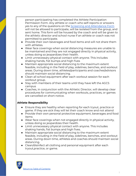person participating has completed the Athlete Participation Permission Form. Any athlete or coach who self-reports or answers yes to any of the questions on the Screening and [Attendance](https://docs.google.com/document/d/1eDk-XlXKCh2qKMVBC6ptPfBJc6SYWMHup7acutmNNWY/edit#) Form will not be allowed to participate, will be isolated from the group, and sent home. This form will be housed by the coach and will be given to the athletic director and school nurse if an athlete or coach was not permitted to participate.

- Provide their own beverages and food items and will not share them with athletes.
- Wear face coverings when social distancing measures are unable to be maintained and they are not engaged directly in physical activity, unless doing so jeopardizes their health.
- Limit unnecessary physical contact with anyone. This includes shaking hands, fist bumps and high fives
- Maintain appropriate social distancing to the maximum extent feasible, including in the field of play, sidelines, benches, and workout areas. During down time, athletes/participants and coaches/advisors should maintain social distancing.
- Clean all school equipment after each workout session for each workout group.
- Stay with members of their teams until they have left the AGCS campus
- Coaches, in conjunction with the Athletic Director, will develop clear procedures for communicating when workouts, practices, or games are cancelled on short notice.

#### <span id="page-5-0"></span>**Athlete Responsibility**

- Ensure they are healthy when reporting for each tryout, practice or game. If they are sick they will let their coach know and not attend
- Provide their own personal protective equipment, beverages and food items
- Wear face coverings when not engaged directly in physical activity, unless doing so jeopardizes their health.
- Limit unnecessary physical contact with anyone. This includes shaking hands, fist bumps and high fives.
- Maintain appropriate social distancing to the maximum extent feasible, including in the field of play, sidelines, benches, and workout areas. During down time, athletes and coaches should maintain social distancing.
- Clean/disinfect all clothing and personal equipment after each tryout,practice, or game.

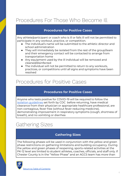## <span id="page-6-1"></span><span id="page-6-0"></span>Procedures For Those Who Become Ill

#### **Procedures for Positive Cases**

Any athlete/participant or coach who is ill or falls ill will not be permitted to participate in any workout, practice, or competition.

- The individual's name will be submitted to the athletic director and school administration
- They will immediately be isolated from the rest of the group/team and their emergency contact will be contacted to arrange from transportation home
- Any equipment used by the ill individual will be removed and cleaned/disinfected
- The individual will not be permitted to return to any workouts, practices, or competitions until all signs and symptoms have been resolved

## <span id="page-6-3"></span><span id="page-6-2"></span>Procedures for Positive Cases

#### **Procedures for Positive Cases**

Anyone who tests positive for COVID-19 will be required to follow the isolation [guidelines](https://www.cdc.gov/coronavirus/2019-ncov/if-you-are-sick/end-home-isolation.html?CDC_AA_refVal=https%3A%2F%2Fwww.cdc.gov%2Fcoronavirus%2F2019-ncov%2Fprevent-getting-sick%2Fwhen-its-safe.html) set forth by CDC before returning, have medical clearance from their physician or appropriate healthcare professional, are non-contagious, fever free (without fever-reducing medicine), demonstrating improvement in respiratory symptoms (cough, shortness of breath), and no vomiting or diarrhea

# <span id="page-6-5"></span><span id="page-6-4"></span>Gathering Sizes

#### **Gathering Sizes**

The following phases will be used in conjunction with the yellow and green phase restrictions on gathering limitations and building occupancy. During the yellow and green phases of reopening, sports-related activities at the PK-12 level are limited to student athletes, coaches, officials, and staff only. If Chester County is in the "Yellow Phase" and an AGCS team has more than

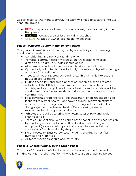25 participants who want to tryout, the team will need to separate into two separate groups .

- RED No sports are allowed in counties designated as being in the Red phase.
- YELLOW Groups of 25 or less (including coaches).
- GREEN Groups of 250 or less (including coaches).

#### <span id="page-7-0"></span>**Phase 1 (Chester County in the Yellow Phase)**

The goal of Phase 1 is reacclimating to physical activity and increasing conditioning levels.

- Conditioning and non contact drills only.
- All verbal communication will be given while practicing social distancing. No group huddles should occur.
- All warm-ups and cool downs should be done six feet apart
- Gym activity is limited to volleyball only. If feasible, volleyball should go outdoors for conditioning.
- Tryouts will be staggered by 30 minutes. This will limit interactions between sport's teams
- During the yellow and green phases of reopening, sports-related activities at the PK-12 level are limited to student athletes, coaches, officials, and staff only. The addition of visitors and spectators will be contingent upon future health conditions within the state and local communities.
- Face coverings required for all coaches and trainers unless doing so jeopardizes his/her health. Face coverings required when athletes arrive/leave and during down time (i.e. during instruction) unless doing so jeopardizes his/her health. Face coverings are not recommended during exertional activity.
- Athletes are required to bring their own water supply and avoid sharing towels.
- Team equipment should be cleaned at the conclusion of each session by coaching and/or custodial staff and individual clothing or equipment (team issued or personal) should be cleaned at the conclusion of each session by the participant.
- No unnecessary physical contact including shaking hands, fist bumps, and high fives.
- All team meetings should occur virtually.

#### <span id="page-7-1"></span>**Phase 2 (Chester County in the Green Phase)**

The goal of Phase 2 is building individual skills over competition and limiting contact. All changes from the yellow to green phase are bolded.

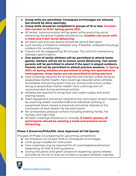- **● Group drills are permitted. Intrasquad scrimmages are allowed, but should be done sparingly**
- **● Group drills should be completed in groups of 10 or less. Increase this number to 15 for Spring sports 2021.**
- All verbal communication will be given while practicing social distancing. No group huddles should occur. **Huddles can occur with a mask and 3 feet social distancing**
- All warm-ups and cool downs should be done 6 feet apart.
- Gym activity is limited to volleyball only. If feasible, volleyball should go outdoors for conditioning.
- Tryouts will be staggered by 30 minutes. This will limit interactions between sport's teams
- **● One parent of senior athletes will be permitted to attend home games. Markers will be set to ensure social distancing. Two senior parents will be permitted to attend if the sport is played outdoors. Parents will not be permitted to attend practice sessions. In Spring 2021, all Spring athletes are permitted to bring two spectators to home games. Away teams are not permitted to bring spectors.**
- Face coverings required for all coaches and trainers unless doing so jeopardizes his/her health. Face coverings required when athletes arrive/leave and during down time (i.e. during instruction) unless doing so jeopardizes his/her health. Face coverings are not recommended during exertional activity.
- Athletes are required to bring their own water supply and avoid sharing towels.
- Team equipment should be cleaned at the conclusion of each session by coaching and/or custodial staff and individual clothing or equipment (team issued or personal) should be cleaned at the conclusion of each session by the participant.
- No unnecessary physical contact including shaking hands, fist bumps, and high fives.
- All team meetings should occur virtually. **If held in-person, all participants should be wearing a mask and practice social distancing.**

#### <span id="page-8-0"></span>**Phase 3 (Governor/PIAA/MIL Have Approved all Fall Sports)**

The goal of Phase 3 is preparing for upcoming competition.

- No limitation on contact drills or intrasquad scrimmages.
- Limit group huddles for instruction
- Face coverings may be required for all coaches/advisors/trainers depending on PDE & DOH guidance.
- During the yellow and green phases of reopening, sports-related activities at the PK-12 level are limited to student athletes, coaches,